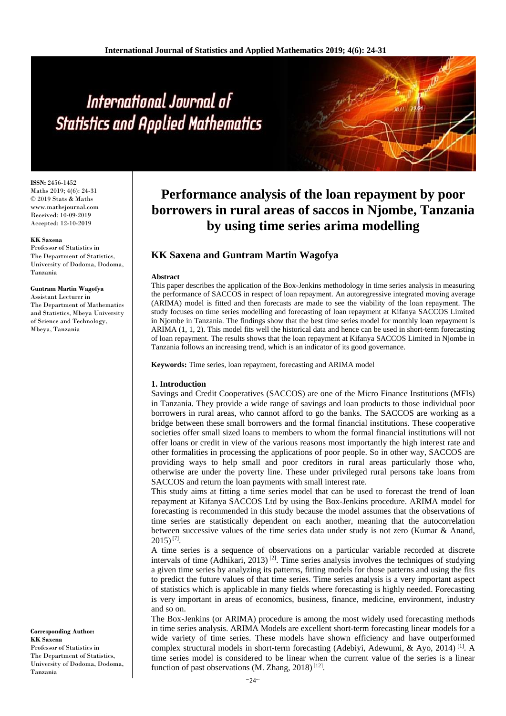# International Journal of **Statistics and Applied Mathematics**

**ISSN:** 2456-1452 Maths 2019; 4(6): 24-31 © 2019 Stats & Maths www.mathsjournal.com Received: 10-09-2019 Accepted: 12-10-2019

#### **KK Saxena**

Professor of Statistics in The Department of Statistics, University of Dodoma, Dodoma, Tanzania

#### **Guntram Martin Wagofya**

Assistant Lecturer in The Department of Mathematics and Statistics, Mbeya University of Science and Technology, Mbeya, Tanzania

#### **Corresponding Author: KK Saxena** Professor of Statistics in The Department of Statistics, University of Dodoma, Dodoma, Tanzania

# **Performance analysis of the loan repayment by poor borrowers in rural areas of saccos in Njombe, Tanzania by using time series arima modelling**

# **KK Saxena and Guntram Martin Wagofya**

#### **Abstract**

This paper describes the application of the Box-Jenkins methodology in time series analysis in measuring the performance of SACCOS in respect of loan repayment. An autoregressive integrated moving average (ARIMA) model is fitted and then forecasts are made to see the viability of the loan repayment. The study focuses on time series modelling and forecasting of loan repayment at Kifanya SACCOS Limited in Njombe in Tanzania. The findings show that the best time series model for monthly loan repayment is ARIMA (1, 1, 2). This model fits well the historical data and hence can be used in short-term forecasting of loan repayment. The results shows that the loan repayment at Kifanya SACCOS Limited in Njombe in Tanzania follows an increasing trend, which is an indicator of its good governance.

**Keywords:** Time series, loan repayment, forecasting and ARIMA model

#### **1. Introduction**

Savings and Credit Cooperatives (SACCOS) are one of the Micro Finance Institutions (MFIs) in Tanzania. They provide a wide range of savings and loan products to those individual poor borrowers in rural areas, who cannot afford to go the banks. The SACCOS are working as a bridge between these small borrowers and the formal financial institutions. These cooperative societies offer small sized loans to members to whom the formal financial institutions will not offer loans or credit in view of the various reasons most importantly the high interest rate and other formalities in processing the applications of poor people. So in other way, SACCOS are providing ways to help small and poor creditors in rural areas particularly those who, otherwise are under the poverty line. These under privileged rural persons take loans from SACCOS and return the loan payments with small interest rate.

This study aims at fitting a time series model that can be used to forecast the trend of loan repayment at Kifanya SACCOS Ltd by using the Box-Jenkins procedure. ARIMA model for forecasting is recommended in this study because the model assumes that the observations of time series are statistically dependent on each another, meaning that the autocorrelation between successive values of the time series data under study is not zero (Kumar & Anand,  $2015$ )<sup>[7]</sup>.

A time series is a sequence of observations on a particular variable recorded at discrete intervals of time (Adhikari, 2013)<sup>[2]</sup>. Time series analysis involves the techniques of studying a given time series by analyzing its patterns, fitting models for those patterns and using the fits to predict the future values of that time series. Time series analysis is a very important aspect of statistics which is applicable in many fields where forecasting is highly needed. Forecasting is very important in areas of economics, business, finance, medicine, environment, industry and so on.

The Box-Jenkins (or ARIMA) procedure is among the most widely used forecasting methods in time series analysis. ARIMA Models are excellent short-term forecasting linear models for a wide variety of time series. These models have shown efficiency and have outperformed complex structural models in short-term forecasting (Adebiyi, Adewumi, & Ayo, 2014)<sup>[1]</sup>. A time series model is considered to be linear when the current value of the series is a linear function of past observations (M. Zhang, 2018)<sup>[12]</sup>.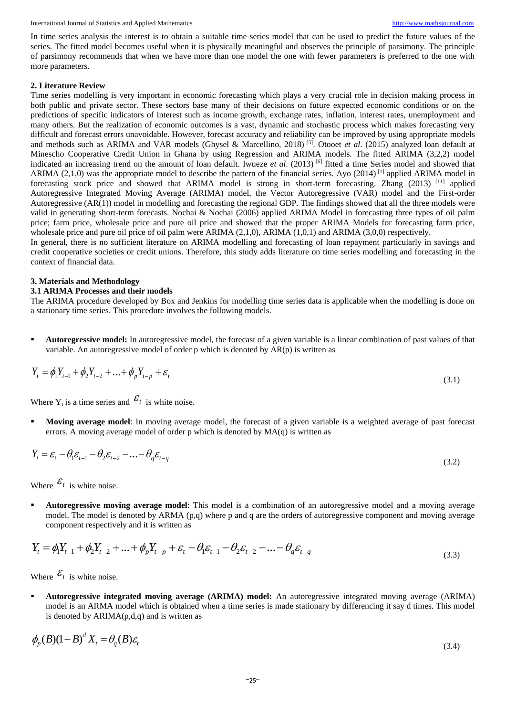International Journal of Statistics and Applied Mathematics [http://www.mathsjournal.com](http://www.mathsjournal.com/)

In time series analysis the interest is to obtain a suitable time series model that can be used to predict the future values of the series. The fitted model becomes useful when it is physically meaningful and observes the principle of parsimony. The principle of parsimony recommends that when we have more than one model the one with fewer parameters is preferred to the one with more parameters.

#### **2. Literature Review**

Time series modelling is very important in economic forecasting which plays a very crucial role in decision making process in both public and private sector. These sectors base many of their decisions on future expected economic conditions or on the predictions of specific indicators of interest such as income growth, exchange rates, inflation, interest rates, unemployment and many others. But the realization of economic outcomes is a vast, dynamic and stochastic process which makes forecasting very difficult and forecast errors unavoidable. However, forecast accuracy and reliability can be improved by using appropriate models and methods such as ARIMA and VAR models (Ghysel & Marcellino, 2018) [5]. Otooet *et al*. (2015) analyzed loan default at Minescho Cooperative Credit Union in Ghana by using Regression and ARIMA models. The fitted ARIMA (3,2,2) model indicated an increasing trend on the amount of loan default. Iwueze *et al*. (2013) [6] fitted a time Series model and showed that ARIMA (2,1,0) was the appropriate model to describe the pattern of the financial series. Ayo (2014) <sup>[1]</sup> applied ARIMA model in forecasting stock price and showed that ARIMA model is strong in short-term forecasting. Zhang (2013) [11] applied Autoregressive Integrated Moving Average (ARIMA) model, the Vector Autoregressive (VAR) model and the First-order Autoregressive (AR(1)) model in modelling and forecasting the regional GDP. The findings showed that all the three models were valid in generating short-term forecasts. Nochai & Nochai (2006) applied ARIMA Model in forecasting three types of oil palm price; farm price, wholesale price and pure oil price and showed that the proper ARIMA Models for forecasting farm price, wholesale price and pure oil price of oil palm were ARIMA (2,1,0), ARIMA (1,0,1) and ARIMA (3,0,0) respectively.

In general, there is no sufficient literature on ARIMA modelling and forecasting of loan repayment particularly in savings and credit cooperative societies or credit unions. Therefore, this study adds literature on time series modelling and forecasting in the context of financial data.

#### **3. Materials and Methodology**

#### **3.1 ARIMA Processes and their models**

The ARIMA procedure developed by Box and Jenkins for modelling time series data is applicable when the modelling is done on a stationary time series. This procedure involves the following models.

**Autoregressive model:** In autoregressive model, the forecast of a given variable is a linear combination of past values of that variable. An autoregressive model of order  $p$  which is denoted by  $AR(p)$  is written as

$$
Y_t = \phi_1 Y_{t-1} + \phi_2 Y_{t-2} + \dots + \phi_p Y_{t-p} + \varepsilon_t
$$
\n(3.1)

Where  $Y_t$  is a time series and  $\mathcal{E}_t$  is white noise.

**Moving average model:** In moving average model, the forecast of a given variable is a weighted average of past forecast errors. A moving average model of order p which is denoted by  $MA(q)$  is written as

$$
Y_t = \varepsilon_t - \theta_1 \varepsilon_{t-1} - \theta_2 \varepsilon_{t-2} - \dots - \theta_q \varepsilon_{t-q}
$$
\n(3.2)

Where  $\mathcal{E}_t$  is white noise.

 **Autoregressive moving average model**: This model is a combination of an autoregressive model and a moving average model. The model is denoted by ARMA (p,q) where p and q are the orders of autoregressive component and moving average component respectively and it is written as

$$
Y_{t} = \phi_{1} Y_{t-1} + \phi_{2} Y_{t-2} + \dots + \phi_{p} Y_{t-p} + \varepsilon_{t} - \theta_{1} \varepsilon_{t-1} - \theta_{2} \varepsilon_{t-2} - \dots - \theta_{q} \varepsilon_{t-q}
$$
\n(3.3)

Where  $\mathcal{E}_t$  is white noise.

 **Autoregressive integrated moving average (ARIMA) model:** An autoregressive integrated moving average (ARIMA) model is an ARMA model which is obtained when a time series is made stationary by differencing it say d times. This model is denoted by  $ARIMA(p,d,q)$  and is written as

$$
\phi_p(B)(1-B)^d X_t = \theta_q(B)\varepsilon_t
$$
\n(3.4)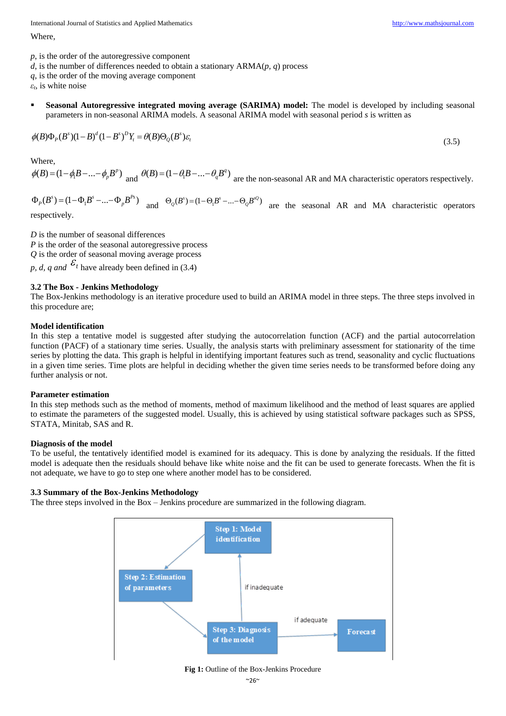International Journal of Statistics and Applied Mathematics [http://www.mathsjournal.com](http://www.mathsjournal.com/)

Where,

*d*, is the number of differences needed to obtain a stationary ARMA(*p, q*) process

*q*, is the order of the moving average component

*εt*, is white noise

 **Seasonal Autoregressive integrated moving average (SARIMA) model:** The model is developed by including seasonal parameters in non-seasonal ARIMA models. A seasonal ARIMA model with seasonal period *s* is written as

$$
\phi(B)\Phi_p(B^s)(1-B)^d(1-B^s)^D Y_t = \theta(B)\Theta_Q(B^s)\varepsilon_t
$$

Where,

 $\phi(B) = (1 - \phi_1 B - \dots - \phi_p B^p)$  and  $\theta(B) = (1 - \theta_1 B - \dots - \theta_q B^q)$  are the non-seasonal AR and MA characteristic operators respectively.

 $(B<sup>s</sup>) = (1 - \Phi<sub>1</sub>B<sup>s</sup> - ... - \Phi<sub>p</sub>B<sup>p<sub>s</sub></sup>)$  $\Phi_p(B^s) = (1 - \Phi_1 B^s - ... - \Phi_p B^{ps})$  and  $\Theta_Q(B^s) = (1 - \Theta_1 B^s - ... - \Theta_Q B^{sQ})$  are the seasonal AR and MA characteristic operators respectively.

*D* is the number of seasonal differences

*P* is the order of the seasonal autoregressive process *Q* is the order of seasonal moving average process

p, d, q and  $\mathcal{E}_t$  have already been defined in (3.4)

# **3.2 The Box - Jenkins Methodology**

The Box-Jenkins methodology is an iterative procedure used to build an ARIMA model in three steps. The three steps involved in this procedure are;

# **Model identification**

In this step a tentative model is suggested after studying the autocorrelation function (ACF) and the partial autocorrelation function (PACF) of a stationary time series. Usually, the analysis starts with preliminary assessment for stationarity of the time series by plotting the data. This graph is helpful in identifying important features such as trend, seasonality and cyclic fluctuations in a given time series. Time plots are helpful in deciding whether the given time series needs to be transformed before doing any further analysis or not.

# **Parameter estimation**

In this step methods such as the method of moments, method of maximum likelihood and the method of least squares are applied to estimate the parameters of the suggested model. Usually, this is achieved by using statistical software packages such as SPSS, STATA, Minitab, SAS and R.

# **Diagnosis of the model**

To be useful, the tentatively identified model is examined for its adequacy. This is done by analyzing the residuals. If the fitted model is adequate then the residuals should behave like white noise and the fit can be used to generate forecasts. When the fit is not adequate, we have to go to step one where another model has to be considered.

# **3.3 Summary of the Box-Jenkins Methodology**

The three steps involved in the Box – Jenkins procedure are summarized in the following diagram.



# **Fig 1:** Outline of the Box-Jenkins Procedure

(3.5)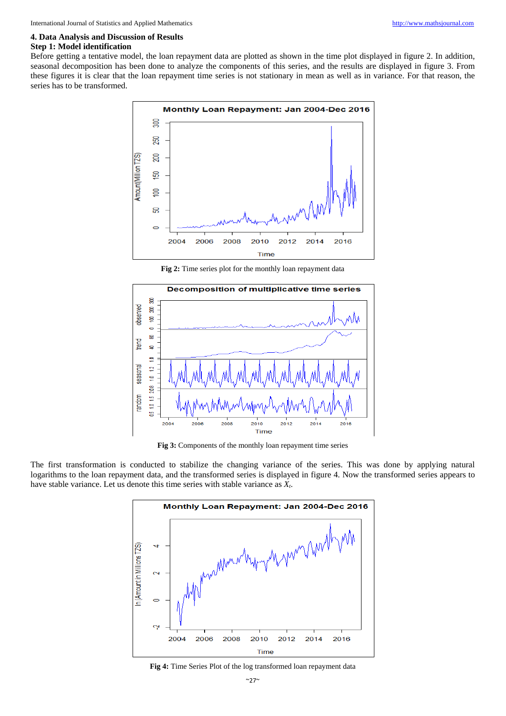# **4. Data Analysis and Discussion of Results**

# **Step 1: Model identification**

Before getting a tentative model, the loan repayment data are plotted as shown in the time plot displayed in figure 2. In addition, seasonal decomposition has been done to analyze the components of this series, and the results are displayed in figure 3. From these figures it is clear that the loan repayment time series is not stationary in mean as well as in variance. For that reason, the series has to be transformed.



**Fig 2:** Time series plot for the monthly loan repayment data



**Fig 3:** Components of the monthly loan repayment time series

The first transformation is conducted to stabilize the changing variance of the series. This was done by applying natural logarithms to the loan repayment data, and the transformed series is displayed in figure 4. Now the transformed series appears to have stable variance. Let us denote this time series with stable variance as *Xt*.



**Fig 4:** Time Series Plot of the log transformed loan repayment data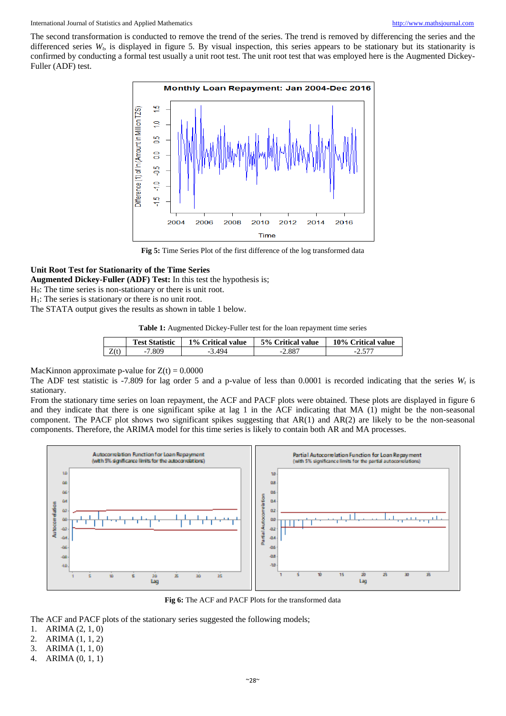#### International Journal of Statistics and Applied Mathematics [http://www.mathsjournal.com](http://www.mathsjournal.com/)

The second transformation is conducted to remove the trend of the series. The trend is removed by differencing the series and the differenced series  $W_t$ , is displayed in figure 5. By visual inspection, this series appears to be stationary but its stationarity is confirmed by conducting a formal test usually a unit root test. The unit root test that was employed here is the Augmented Dickey-Fuller (ADF) test.



**Fig 5:** Time Series Plot of the first difference of the log transformed data

#### **Unit Root Test for Stationarity of the Time Series**

**Augmented Dickey-Fuller (ADF) Test:** In this test the hypothesis is;

H0: The time series is non-stationary or there is unit root.

 $H_1$ : The series is stationary or there is no unit root.

The STATA output gives the results as shown in table 1 below.

**Table 1:** Augmented Dickey-Fuller test for the loan repayment time series

| רד ר                               |  |
|------------------------------------|--|
| 7.809<br>Z(t)<br>$-2.887$<br>3.494 |  |

MacKinnon approximate p-value for  $Z(t) = 0.0000$ 

The ADF test statistic is -7.809 for lag order 5 and a p-value of less than 0.0001 is recorded indicating that the series  $W_t$  is stationary.

From the stationary time series on loan repayment, the ACF and PACF plots were obtained. These plots are displayed in figure 6 and they indicate that there is one significant spike at lag 1 in the ACF indicating that MA (1) might be the non-seasonal component. The PACF plot shows two significant spikes suggesting that AR(1) and AR(2) are likely to be the non-seasonal components. Therefore, the ARIMA model for this time series is likely to contain both AR and MA processes.



Fig 6: The ACF and PACF Plots for the transformed data

The ACF and PACF plots of the stationary series suggested the following models;

- 1. ARIMA (2, 1, 0)
- 2. ARIMA (1, 1, 2)
- 3. ARIMA (1, 1, 0)
- 4. ARIMA (0, 1, 1)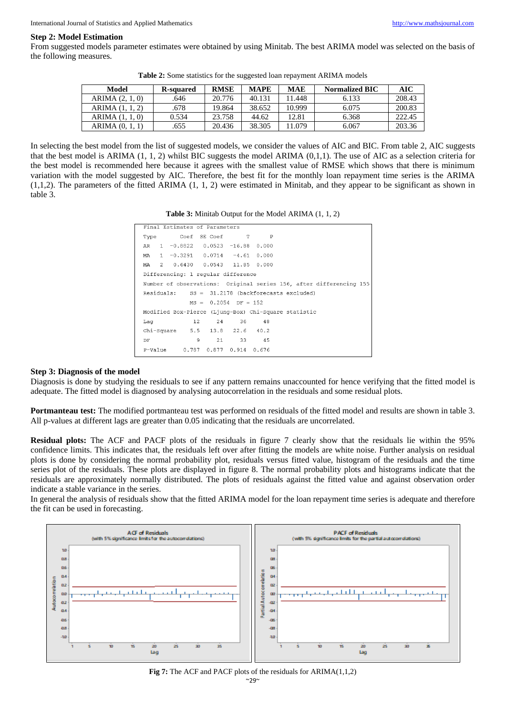#### **Step 2: Model Estimation**

From suggested models parameter estimates were obtained by using Minitab. The best ARIMA model was selected on the basis of the following measures.

| Model               | <b>R-squared</b> | <b>RMSE</b> | <b>MAPE</b> | <b>MAE</b> | <b>Normalized BIC</b> | AIC    |
|---------------------|------------------|-------------|-------------|------------|-----------------------|--------|
| ARIMA (2, 1, 0)     | .646             | 20.776      | 40.131      | 11.448     | 6.133                 | 208.43 |
| <b>ARIMA</b> (1, 1) | .678             | 19.864      | 38.652      | 10.999     | 6.075                 | 200.83 |
| ARIMA $(1, 1, 0)$   | 0.534            | 23.758      | 44.62       | 12.81      | 6.368                 | 222.45 |
| ARIMA $(0, 1, 1)$   | .655             | 20.436      | 38.305      | 11.079     | 6.067                 | 203.36 |

**Table 2:** Some statistics for the suggested loan repayment ARIMA models

In selecting the best model from the list of suggested models, we consider the values of AIC and BIC. From table 2, AIC suggests that the best model is ARIMA  $(1, 1, 2)$  whilst BIC suggests the model ARIMA  $(0,1,1)$ . The use of AIC as a selection criteria for the best model is recommended here because it agrees with the smallest value of RMSE which shows that there is minimum variation with the model suggested by AIC. Therefore, the best fit for the monthly loan repayment time series is the ARIMA (1,1,2). The parameters of the fitted ARIMA (1, 1, 2) were estimated in Minitab, and they appear to be significant as shown in table 3.

| Final Estimates of Parameters<br>Type Coef SE Coef T<br>$\mathbb{P}$<br>$1 -0.8822 0.0523 -16.88 0.000$<br>AR<br>MA 1 -0.3291 0.0714 -4.61 0.000<br>MA 2 0.6430 0.0543 11.85 0.000<br>Differencing: 1 regular difference<br>Number of observations: Original series 156, after differencing 155<br>$Residuals:$ $SS = 31.2178$ (backforecasts excluded)<br>$MS = 0.2054$ DF = 152<br>Modified Box-Pierce (Ljung-Box) Chi-Square statistic<br>12 24 36 48<br>Laq<br>Chi-Square 5.5 13.8 22.6 40.2<br>9<br>21 33 45<br>DF |  |  |  |  |  |  |  |  |  |  |
|-------------------------------------------------------------------------------------------------------------------------------------------------------------------------------------------------------------------------------------------------------------------------------------------------------------------------------------------------------------------------------------------------------------------------------------------------------------------------------------------------------------------------|--|--|--|--|--|--|--|--|--|--|
|                                                                                                                                                                                                                                                                                                                                                                                                                                                                                                                         |  |  |  |  |  |  |  |  |  |  |
|                                                                                                                                                                                                                                                                                                                                                                                                                                                                                                                         |  |  |  |  |  |  |  |  |  |  |
|                                                                                                                                                                                                                                                                                                                                                                                                                                                                                                                         |  |  |  |  |  |  |  |  |  |  |
|                                                                                                                                                                                                                                                                                                                                                                                                                                                                                                                         |  |  |  |  |  |  |  |  |  |  |
|                                                                                                                                                                                                                                                                                                                                                                                                                                                                                                                         |  |  |  |  |  |  |  |  |  |  |
|                                                                                                                                                                                                                                                                                                                                                                                                                                                                                                                         |  |  |  |  |  |  |  |  |  |  |
|                                                                                                                                                                                                                                                                                                                                                                                                                                                                                                                         |  |  |  |  |  |  |  |  |  |  |
|                                                                                                                                                                                                                                                                                                                                                                                                                                                                                                                         |  |  |  |  |  |  |  |  |  |  |
|                                                                                                                                                                                                                                                                                                                                                                                                                                                                                                                         |  |  |  |  |  |  |  |  |  |  |
|                                                                                                                                                                                                                                                                                                                                                                                                                                                                                                                         |  |  |  |  |  |  |  |  |  |  |
|                                                                                                                                                                                                                                                                                                                                                                                                                                                                                                                         |  |  |  |  |  |  |  |  |  |  |
|                                                                                                                                                                                                                                                                                                                                                                                                                                                                                                                         |  |  |  |  |  |  |  |  |  |  |
|                                                                                                                                                                                                                                                                                                                                                                                                                                                                                                                         |  |  |  |  |  |  |  |  |  |  |
| 0.787 0.877 0.914 0.676<br>P-Value                                                                                                                                                                                                                                                                                                                                                                                                                                                                                      |  |  |  |  |  |  |  |  |  |  |
|                                                                                                                                                                                                                                                                                                                                                                                                                                                                                                                         |  |  |  |  |  |  |  |  |  |  |

#### **Step 3: Diagnosis of the model**

Diagnosis is done by studying the residuals to see if any pattern remains unaccounted for hence verifying that the fitted model is adequate. The fitted model is diagnosed by analysing autocorrelation in the residuals and some residual plots.

**Portmanteau test:** The modified portmanteau test was performed on residuals of the fitted model and results are shown in table 3. All p-values at different lags are greater than 0.05 indicating that the residuals are uncorrelated.

**Residual plots:** The ACF and PACF plots of the residuals in figure 7 clearly show that the residuals lie within the 95% confidence limits. This indicates that, the residuals left over after fitting the models are white noise. Further analysis on residual plots is done by considering the normal probability plot, residuals versus fitted value, histogram of the residuals and the time series plot of the residuals. These plots are displayed in figure 8. The normal probability plots and histograms indicate that the residuals are approximately normally distributed. The plots of residuals against the fitted value and against observation order indicate a stable variance in the series.

In general the analysis of residuals show that the fitted ARIMA model for the loan repayment time series is adequate and therefore the fit can be used in forecasting.



**Fig 7:** The ACF and PACF plots of the residuals for ARIMA(1,1,2)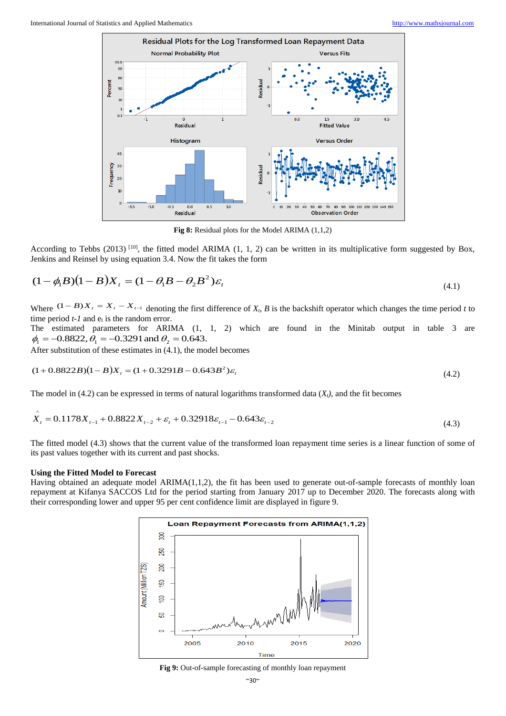

**Fig 8:** Residual plots for the Model ARIMA (1,1,2)

According to Tebbs (2013)<sup>[10]</sup>, the fitted model ARIMA (1, 1, 2) can be written in its multiplicative form suggested by Box, Jenkins and Reinsel by using equation 3.4. Now the fit takes the form

$$
(1 - \phi_1 B)(1 - B)X_t = (1 - \theta_1 B - \theta_2 B^2)\varepsilon_t
$$
\n
$$
(4.1)
$$

Where  $(1 - B)X_t = X_t - X_{t-1}$  denoting the first difference of  $X_t$ , B is the backshift operator which changes the time period t to time period  $t-1$  and  $e_t$  is the random error.

The estimated parameters for ARIMA (1, 1, 2) which are found in the Minitab output in table 3 are  $\phi_1 = -0.8822$ ,  $\theta_1 = -0.3291$  and  $\theta_2 = 0.643$ .

After substitution of these estimates in (4.1), the model becomes

$$
(1+0.8822B)(1-B)X_t = (1+0.3291B - 0.643B^2)\varepsilon_t
$$
\n(4.2)

The model in (4.2) can be expressed in terms of natural logarithms transformed data  $(X_t)$ , and the fit becomes

$$
X_t = 0.1178X_{t-1} + 0.8822X_{t-2} + \varepsilon_t + 0.32918\varepsilon_{t-1} - 0.643\varepsilon_{t-2}
$$
\n
$$
(4.3)
$$

The fitted model (4.3) shows that the current value of the transformed loan repayment time series is a linear function of some of its past values together with its current and past shocks.

#### **Using the Fitted Model to Forecast**

^

Having obtained an adequate model ARIMA(1,1,2), the fit has been used to generate out-of-sample forecasts of monthly loan repayment at Kifanya SACCOS Ltd for the period starting from January 2017 up to December 2020. The forecasts along with their corresponding lower and upper 95 per cent confidence limit are displayed in figure 9.



**Fig 9:** Out-of-sample forecasting of monthly loan repayment